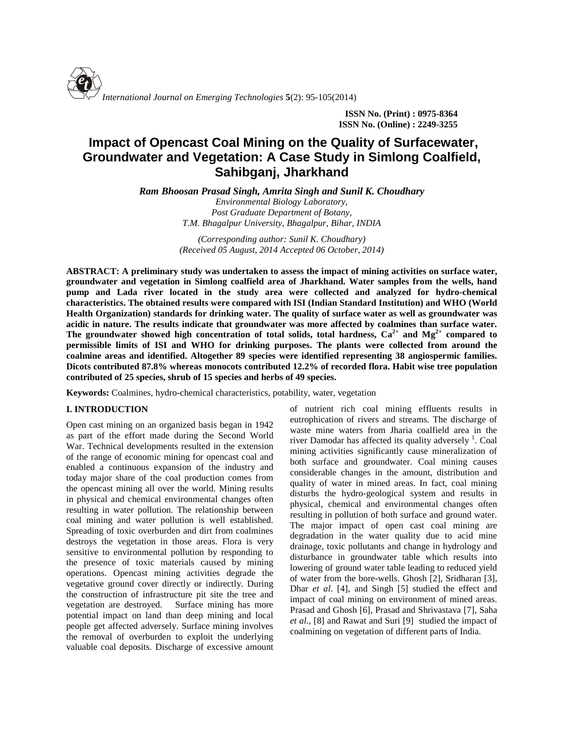

**ISSN No. (Print) : 0975-8364 ISSN No. (Online) : 2249-3255**

# **Impact of Opencast Coal Mining on the Quality of Surfacewater, Groundwater and Vegetation: A Case Study in Simlong Coalfield, Sahibganj, Jharkhand**

*Ram Bhoosan Prasad Singh, Amrita Singh and Sunil K. Choudhary Environmental Biology Laboratory,*

*Post Graduate Department of Botany, T.M. Bhagalpur University, Bhagalpur, Bihar, INDIA*

*(Corresponding author: Sunil K. Choudhary) (Received 05 August, 2014 Accepted 06 October, 2014)*

**ABSTRACT: A preliminary study was undertaken to assess the impact of mining activities on surface water, groundwater and vegetation in Simlong coalfield area of Jharkhand. Water samples from the wells, hand pump and Lada river located in the study area were collected and analyzed for hydro-chemical characteristics. The obtained results were compared with ISI (Indian Standard Institution) and WHO (World Health Organization) standards for drinking water. The quality of surface water as well as groundwater was acidic in nature. The results indicate that groundwater was more affected by coalmines than surface water.** The groundwater showed high concentration of total solids, total hardness,  $Ca^{2+}$  and  $Mg^{2+}$  compared to **permissible limits of ISI and WHO for drinking purposes. The plants were collected from around the coalmine areas and identified. Altogether 89 species were identified representing 38 angiospermic families. Dicots contributed 87.8% whereas monocots contributed 12.2% of recorded flora. Habit wise tree population contributed of 25 species, shrub of 15 species and herbs of 49 species.**

**Keywords:** Coalmines, hydro-chemical characteristics, potability, water, vegetation

## **I. INTRODUCTION**

Open cast mining on an organized basis began in 1942 as part of the effort made during the Second World War. Technical developments resulted in the extension of the range of economic mining for opencast coal and enabled a continuous expansion of the industry and today major share of the coal production comes from the opencast mining all over the world. Mining results in physical and chemical environmental changes often resulting in water pollution. The relationship between coal mining and water pollution is well established. Spreading of toxic overburden and dirt from coalmines destroys the vegetation in those areas. Flora is very sensitive to environmental pollution by responding to the presence of toxic materials caused by mining operations. Opencast mining activities degrade the vegetative ground cover directly or indirectly. During the construction of infrastructure pit site the tree and vegetation are destroyed. Surface mining has more potential impact on land than deep mining and local people get affected adversely. Surface mining involves the removal of overburden to exploit the underlying valuable coal deposits. Discharge of excessive amount

of nutrient rich coal mining effluents results in eutrophication of rivers and streams. The discharge of waste mine waters from Jharia coalfield area in the river Damodar has affected its quality adversely <sup>1</sup>. Coal mining activities significantly cause mineralization of both surface and groundwater. Coal mining causes considerable changes in the amount, distribution and quality of water in mined areas. In fact, coal mining disturbs the hydro-geological system and results in physical, chemical and environmental changes often resulting in pollution of both surface and ground water. The major impact of open cast coal mining are degradation in the water quality due to acid mine drainage, toxic pollutants and change in hydrology and disturbance in groundwater table which results into lowering of ground water table leading to reduced yield of water from the bore-wells. Ghosh [2], Sridharan [3], Dhar *et al*. [4], and Singh [5] studied the effect and impact of coal mining on environment of mined areas. Prasad and Ghosh [6], Prasad and Shrivastava [7], Saha *et al.,* [8] and Rawat and Suri [9] studied the impact of coalmining on vegetation of different parts of India.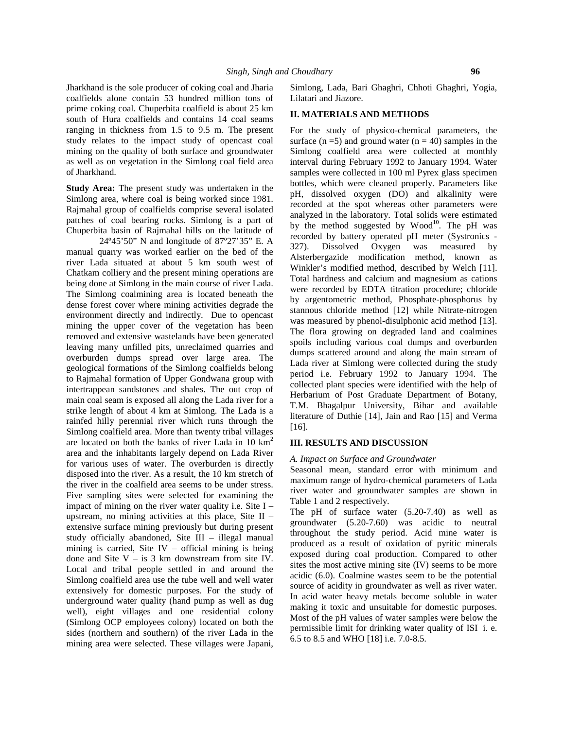Jharkhand is the sole producer of coking coal and Jharia coalfields alone contain 53 hundred million tons of prime coking coal. Chuperbita coalfield is about 25 km south of Hura coalfields and contains 14 coal seams ranging in thickness from 1.5 to 9.5 m. The present study relates to the impact study of opencast coal mining on the quality of both surface and groundwater as well as on vegetation in the Simlong coal field area of Jharkhand.

**Study Area:** The present study was undertaken in the Simlong area, where coal is being worked since 1981. Rajmahal group of coalfields comprise several isolated patches of coal bearing rocks. Simlong is a part of Chuperbita basin of Rajmahal hills on the latitude of

24°45'50" N and longitude of 87°27'35" E. A cloud manual quarry was worked earlier on the bed of the river Lada situated at about 5 km south west of Chatkam colliery and the present mining operations are being done at Simlong in the main course of river Lada. The Simlong coalmining area is located beneath the dense forest cover where mining activities degrade the environment directly and indirectly. Due to opencast mining the upper cover of the vegetation has been removed and extensive wastelands have been generated leaving many unfilled pits, unreclaimed quarries and overburden dumps spread over large area. The geological formations of the Simlong coalfields belong to Rajmahal formation of Upper Gondwana group with intertrappean sandstones and shales. The out crop of main coal seam is exposed all along the Lada river for a strike length of about 4 km at Simlong. The Lada is a rainfed hilly perennial river which runs through the Simlong coalfield area. More than twenty tribal villages are located on both the banks of river Lada in 10  $km^2$ area and the inhabitants largely depend on Lada River for various uses of water. The overburden is directly disposed into the river. As a result, the 10 km stretch of the river in the coalfield area seems to be under stress. Five sampling sites were selected for examining the impact of mining on the river water quality i.e. Site I – upstream, no mining activities at this place, Site II – extensive surface mining previously but during present study officially abandoned, Site III – illegal manual mining is carried, Site IV – official mining is being done and Site  $V - iS = S$  km downstream from site IV. Local and tribal people settled in and around the Simlong coalfield area use the tube well and well water extensively for domestic purposes. For the study of underground water quality (hand pump as well as dug well), eight villages and one residential colony (Simlong OCP employees colony) located on both the sides (northern and southern) of the river Lada in the mining area were selected. These villages were Japani,

Simlong, Lada, Bari Ghaghri, Chhoti Ghaghri, Yogia, Lilatari and Jiazore.

#### **II. MATERIALS AND METHODS**

For the study of physico-chemical parameters, the surface  $(n=5)$  and ground water  $(n=40)$  samples in the Simlong coalfield area were collected at monthly interval during February 1992 to January 1994. Water samples were collected in 100 ml Pyrex glass specimen bottles, which were cleaned properly. Parameters like pH, dissolved oxygen (DO) and alkalinity were recorded at the spot whereas other parameters were analyzed in the laboratory. Total solids were estimated by the method suggested by  $Wood^{10}$ . The pH was recorded by battery operated pH meter (Systronics - Dissolved Oxygen was measured by Alsterbergazide modification method, known as Winkler's modified method, described by Welch [11]. Total hardness and calcium and magnesium as cations were recorded by EDTA titration procedure; chloride by argentometric method, Phosphate-phosphorus by stannous chloride method [12] while Nitrate-nitrogen was measured by phenol-disulphonic acid method [13]. The flora growing on degraded land and coalmines spoils including various coal dumps and overburden dumps scattered around and along the main stream of Lada river at Simlong were collected during the study period i.e. February 1992 to January 1994. The collected plant species were identified with the help of Herbarium of Post Graduate Department of Botany, T.M. Bhagalpur University, Bihar and available literature of Duthie [14], Jain and Rao [15] and Verma [16].

#### **III. RESULTS AND DISCUSSION**

#### *A. Impact on Surface and Groundwater*

Seasonal mean, standard error with minimum and maximum range of hydro-chemical parameters of Lada river water and groundwater samples are shown in Table 1 and 2 respectively.

The pH of surface water (5.20-7.40) as well as groundwater (5.20-7.60) was acidic to neutral throughout the study period. Acid mine water is produced as a result of oxidation of pyritic minerals exposed during coal production. Compared to other sites the most active mining site (IV) seems to be more acidic (6.0). Coalmine wastes seem to be the potential source of acidity in groundwater as well as river water. In acid water heavy metals become soluble in water making it toxic and unsuitable for domestic purposes. Most of the pH values of water samples were below the permissible limit for drinking water quality of ISI i. e. 6.5 to 8.5 and WHO [18] i.e. 7.0-8.5.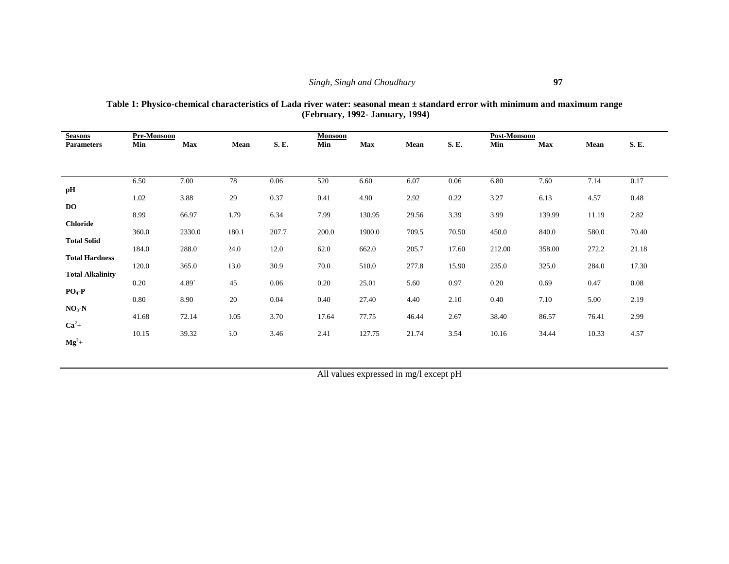| Table 1: Physico-chemical characteristics of Lada river water: seasonal mean $\pm$ standard error with minimum and maximum range |
|----------------------------------------------------------------------------------------------------------------------------------|
| (February, 1992- January, 1994)                                                                                                  |

| <b>Seasons</b><br><b>Parameters</b> | Pre-Monsoon<br>Min | Max    | Mean  | <b>S.E.</b> | <b>Monsoon</b><br>Min | Max    | Mean  | S. E. | Post-Monsoon<br>Min | <b>Max</b> | Mean  | S.E.  |
|-------------------------------------|--------------------|--------|-------|-------------|-----------------------|--------|-------|-------|---------------------|------------|-------|-------|
|                                     |                    |        |       |             |                       |        |       |       |                     |            |       |       |
|                                     |                    |        |       |             |                       |        |       |       |                     |            |       |       |
| pH                                  | 6.50               | 7.00   | 78    | 0.06        | 520                   | 6.60   | 6.07  | 0.06  | 6.80                | 7.60       | 7.14  | 0.17  |
|                                     | 1.02               | 3.88   | 29    | 0.37        | 0.41                  | 4.90   | 2.92  | 0.22  | 3.27                | 6.13       | 4.57  | 0.48  |
| <b>DO</b>                           | 8.99               | 66.97  | 4.79  | 6.34        | 7.99                  | 130.95 | 29.56 | 3.39  | 3.99                | 139.99     | 11.19 | 2.82  |
| <b>Chloride</b>                     | 360.0              | 2330.0 | 180.1 | 207.7       | 200.0                 | 1900.0 | 709.5 | 70.50 | 450.0               | 840.0      | 580.0 | 70.40 |
| <b>Total Solid</b>                  | 184.0              | 288.0  | 24.0  | 12.0        | 62.0                  | 662.0  | 205.7 | 17.60 | 212.00              | 358.00     | 272.2 | 21.18 |
| <b>Total Hardness</b>               | 120.0              | 365.0  | 13.0  | 30.9        | 70.0                  | 510.0  | 277.8 | 15.90 | 235.0               | 325.0      | 284.0 | 17.30 |
| <b>Total Alkalinity</b>             |                    |        |       |             |                       |        |       |       |                     |            |       |       |
| $PO_4$ -P                           | 0.20               | 4.89   | 45    | 0.06        | 0.20                  | 25.01  | 5.60  | 0.97  | 0.20                | 0.69       | 0.47  | 0.08  |
| $NO3$ -N                            | 0.80               | 8.90   | 20    | 0.04        | 0.40                  | 27.40  | 4.40  | 2.10  | 0.40                | 7.10       | 5.00  | 2.19  |
| $Ca2 +$                             | 41.68              | 72.14  | 0.05  | 3.70        | 17.64                 | 77.75  | 46.44 | 2.67  | 38.40               | 86.57      | 76.41 | 2.99  |
|                                     | 10.15              | 39.32  | 5.0   | 3.46        | 2.41                  | 127.75 | 21.74 | 3.54  | 10.16               | 34.44      | 10.33 | 4.57  |
| $Mg^2$ +                            |                    |        |       |             |                       |        |       |       |                     |            |       |       |

All values expressed in mg/l except pH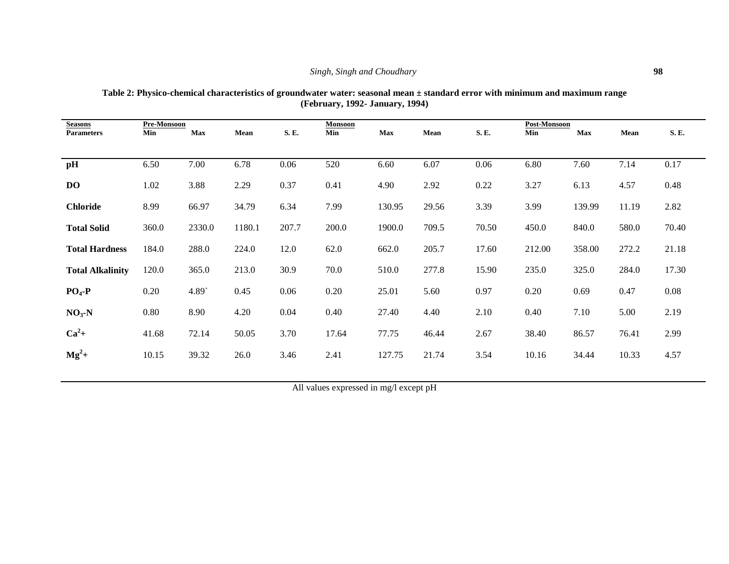| <b>Seasons</b>          | Pre-Monsoon |        |        |       | <b>Monsoon</b> |            |       |       | Post-Monsoon |        |             |             |
|-------------------------|-------------|--------|--------|-------|----------------|------------|-------|-------|--------------|--------|-------------|-------------|
| <b>Parameters</b>       | Min         | Max    | Mean   | S. E. | Min            | <b>Max</b> | Mean  | S.E.  | Min          | Max    | <b>Mean</b> | <b>S.E.</b> |
|                         |             |        |        |       |                |            |       |       |              |        |             |             |
| pH                      | 6.50        | 7.00   | 6.78   | 0.06  | 520            | 6.60       | 6.07  | 0.06  | 6.80         | 7.60   | 7.14        | 0.17        |
| <b>DO</b>               | 1.02        | 3.88   | 2.29   | 0.37  | 0.41           | 4.90       | 2.92  | 0.22  | 3.27         | 6.13   | 4.57        | 0.48        |
| <b>Chloride</b>         | 8.99        | 66.97  | 34.79  | 6.34  | 7.99           | 130.95     | 29.56 | 3.39  | 3.99         | 139.99 | 11.19       | 2.82        |
| <b>Total Solid</b>      | 360.0       | 2330.0 | 1180.1 | 207.7 | 200.0          | 1900.0     | 709.5 | 70.50 | 450.0        | 840.0  | 580.0       | 70.40       |
| <b>Total Hardness</b>   | 184.0       | 288.0  | 224.0  | 12.0  | 62.0           | 662.0      | 205.7 | 17.60 | 212.00       | 358.00 | 272.2       | 21.18       |
| <b>Total Alkalinity</b> | 120.0       | 365.0  | 213.0  | 30.9  | 70.0           | 510.0      | 277.8 | 15.90 | 235.0        | 325.0  | 284.0       | 17.30       |
| $PO4-P$                 | 0.20        | 4.89   | 0.45   | 0.06  | 0.20           | 25.01      | 5.60  | 0.97  | 0.20         | 0.69   | 0.47        | 0.08        |
| $NO3-N$                 | 0.80        | 8.90   | 4.20   | 0.04  | 0.40           | 27.40      | 4.40  | 2.10  | 0.40         | 7.10   | 5.00        | 2.19        |
| $Ca2$ +                 | 41.68       | 72.14  | 50.05  | 3.70  | 17.64          | 77.75      | 46.44 | 2.67  | 38.40        | 86.57  | 76.41       | 2.99        |
| $Mg^2$ +                | 10.15       | 39.32  | 26.0   | 3.46  | 2.41           | 127.75     | 21.74 | 3.54  | 10.16        | 34.44  | 10.33       | 4.57        |

**Table 2: Physico-chemical characteristics of groundwater water: seasonal mean ± standard error with minimum and maximum range (February, 1992- January, 1994)**

All values expressed in mg/l except pH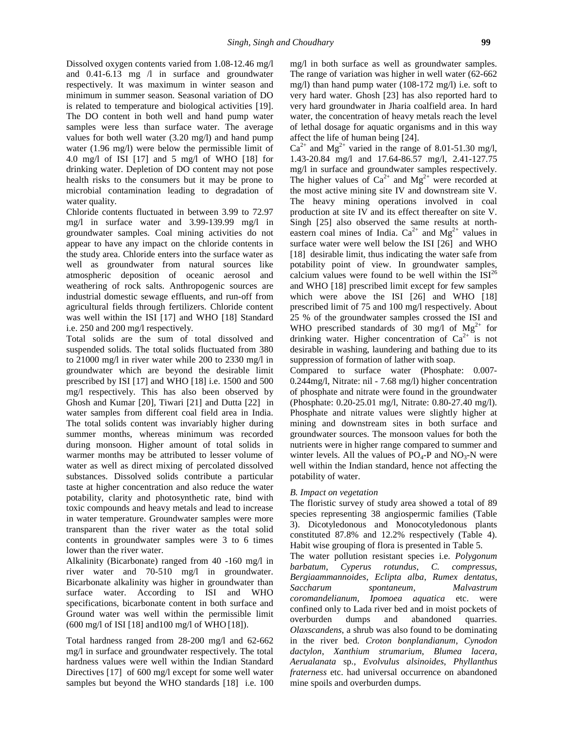Dissolved oxygen contents varied from 1.08-12.46 mg/l and 0.41-6.13 mg /l in surface and groundwater respectively. It was maximum in winter season and minimum in summer season. Seasonal variation of DO is related to temperature and biological activities [19]. The DO content in both well and hand pump water samples were less than surface water. The average values for both well water (3.20 mg/l) and hand pump water (1.96 mg/l) were below the permissible limit of 4.0 mg/l of ISI [17] and 5 mg/l of WHO [18] for drinking water. Depletion of DO content may not pose health risks to the consumers but it may be prone to microbial contamination leading to degradation of water quality.

Chloride contents fluctuated in between 3.99 to 72.97 mg/l in surface water and 3.99-139.99 mg/l in groundwater samples. Coal mining activities do not appear to have any impact on the chloride contents in the study area. Chloride enters into the surface water as well as groundwater from natural sources like atmospheric deposition of oceanic aerosol and weathering of rock salts. Anthropogenic sources are industrial domestic sewage effluents, and run-off from agricultural fields through fertilizers. Chloride content was well within the ISI [17] and WHO [18] Standard i.e. 250 and 200 mg/l respectively.

Total solids are the sum of total dissolved and suspended solids. The total solids fluctuated from 380 to 21000 mg/l in river water while 200 to 2330 mg/l in groundwater which are beyond the desirable limit prescribed by ISI [17] and WHO [18] i.e. 1500 and 500 mg/l respectively. This has also been observed by Ghosh and Kumar [20], Tiwari [21] and Dutta [22] in water samples from different coal field area in India. The total solids content was invariably higher during summer months, whereas minimum was recorded during monsoon. Higher amount of total solids in warmer months may be attributed to lesser volume of water as well as direct mixing of percolated dissolved substances. Dissolved solids contribute a particular taste at higher concentration and also reduce the water potability, clarity and photosynthetic rate, bind with toxic compounds and heavy metals and lead to increase in water temperature. Groundwater samples were more transparent than the river water as the total solid contents in groundwater samples were 3 to 6 times lower than the river water.

Alkalinity (Bicarbonate) ranged from 40 -160 mg/l in  $bar{b}$  barbatum, river water and 70-510 mg/l in groundwater. Bicarbonate alkalinity was higher in groundwater than Saccharum surface water. According to ISI and WHO specifications, bicarbonate content in both surface and Ground water was well within the permissible limit (600 mg/l of ISI [18] and100 mg/l of WHO [18]).

Total hardness ranged from 28-200 mg/l and 62-662 mg/l in surface and groundwater respectively. The total hardness values were well within the Indian Standard Directives [17] of 600 mg/l except for some well water samples but beyond the WHO standards [18] i.e. 100 mg/l in both surface as well as groundwater samples. The range of variation was higher in well water (62-662 mg/l) than hand pump water (108-172 mg/l) i.e. soft to very hard water. Ghosh [23] has also reported hard to very hard groundwater in Jharia coalfield area. In hard water, the concentration of heavy metals reach the level of lethal dosage for aquatic organisms and in this way affect the life of human being [24].

 $Ca^{2+}$  and Mg<sup>2+</sup> varied in the range of 8.01-51.30 mg/l, 1.43-20.84 mg/l and 17.64-86.57 mg/l, 2.41-127.75 mg/l in surface and groundwater samples respectively. The higher values of  $Ca^{2+}$  and  $Mg^{2+}$  were recorded at the most active mining site IV and downstream site V. The heavy mining operations involved in coal production at site IV and its effect thereafter on site V. Singh [25] also observed the same results at north eastern coal mines of India.  $Ca^{2+}$  and  $Mg^{2+}$  values in surface water were well below the ISI [26] and WHO [18] desirable limit, thus indicating the water safe from potability point of view. In groundwater samples, calcium values were found to be well within the  $ISI<sup>26</sup>$ and WHO [18] prescribed limit except for few samples which were above the ISI [26] and WHO [18] prescribed limit of 75 and 100 mg/l respectively. About 25 % of the groundwater samples crossed the ISI and WHO prescribed standards of 30 mg/l of  $Mg^{2+}$  for drinking water. Higher concentration of  $Ca^{2+}$  is not desirable in washing, laundering and bathing due to its suppression of formation of lather with soap.

Compared to surface water (Phosphate: 0.007- 0.244mg/l, Nitrate: nil - 7.68 mg/l) higher concentration of phosphate and nitrate were found in the groundwater (Phosphate: 0.20-25.01 mg/l, Nitrate: 0.80-27.40 mg/l). Phosphate and nitrate values were slightly higher at mining and downstream sites in both surface and groundwater sources. The monsoon values for both the nutrients were in higher range compared to summer and winter levels. All the values of  $PO_4$ -P and  $NO_3$ -N were well within the Indian standard, hence not affecting the potability of water.

#### *B. Impact on vegetation*

The floristic survey of study area showed a total of 89 species representing 38 angiospermic families (Table 3). Dicotyledonous and Monocotyledonous plants constituted 87.8% and 12.2% respectively (Table 4). Habit wise grouping of flora is presented in Table 5.

The water pollution resistant species i.e. *Polygonum barbatum*, *Cyperus rotundus*, *C. compressus*, *Bergiaammannoides*, *Eclipta alba*, *Rumex dentatus*, *Saccharum spontaneum*, *Malvastrum coromandelianum*, *Ipomoea aquatica* etc. were confined only to Lada river bed and in moist pockets of overburden dumps and abandoned quarries. *Olaxscandens*, a shrub was also found to be dominating in the river bed. *Croton bonplandianum*, *Cynodon dactylon*, *Xanthium strumarium*, *Blumea lacera*, *Aerualanata* sp., *Evolvulus alsinoides*, *Phyllanthus fraterness* etc. had universal occurrence on abandoned mine spoils and overburden dumps.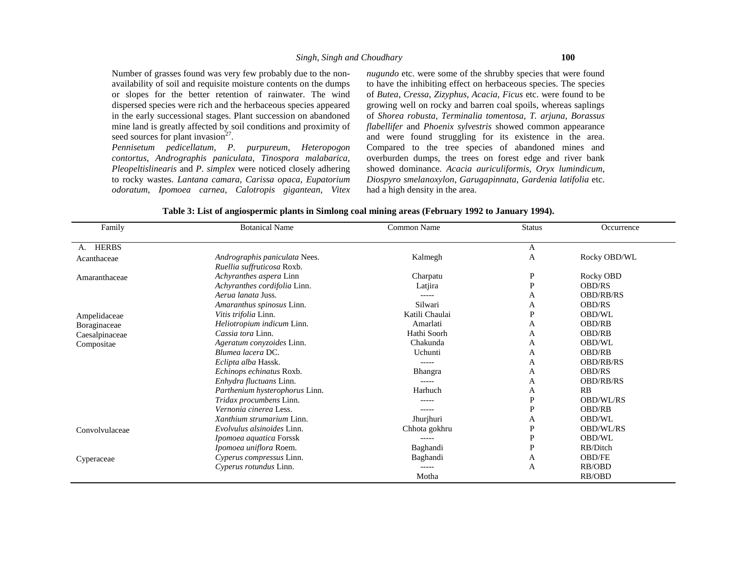Number of grasses found was very few probably due to the non availability of soil and requisite moisture contents on the dumps or slopes for the better retention of rainwater. The wind dispersed species were rich and the herbaceous species appeared in the early successional stages. Plant succession on abandoned mine land is greatly affected by soil conditions and proximity of seed sources for plant invasion $2^7$ .

*Pennisetum pedicellatum*, *P. purpureum*, *Heteropogon contortus*, *Andrographis paniculata*, *Tinospora malabarica*, *Pleopeltislinearis* and *P. simplex* were noticed closely adhering to rocky wastes. *Lantana camara*, *Carissa opaca*, *Eupatorium odoratum*, *Ipomoea carnea*, *Calotropis gigantean*, *Vitex* *nugundo* etc. were some of the shrubby species that were found to have the inhibiting effect on herbaceous species. The species of *Butea*, *Cressa*, *Zizyphus*, *Acacia*, *Ficus* etc. were found to be growing well on rocky and barren coal spoils, whereas saplings of *Shorea robusta*, *Terminalia tomentosa*, *T. arjuna*, *Borassus flabellifer* and *Phoenix sylvestris* showed common appearance and were found struggling for its existence in the area. Compared to the tree species of abandoned mines and overburden dumps, the trees on forest edge and river bank showed dominance. *Acacia auriculiformis*, *Oryx lumindicum*, *Diospyro smelanoxylon*, *Garugapinnata*, *Gardenia latifolia* etc. had a high density in the area.

| Family         | <b>Botanical Name</b>                                       | Common Name    | <b>Status</b> | Occurrence       |
|----------------|-------------------------------------------------------------|----------------|---------------|------------------|
| A. HERBS       |                                                             |                | A             |                  |
| Acanthaceae    | Andrographis paniculata Nees.<br>Ruellia suffruticosa Roxb. | Kalmegh        | A             | Rocky OBD/WL     |
| Amaranthaceae  | Achyranthes aspera Linn                                     | Charpatu       | P             | Rocky OBD        |
|                | Achyranthes cordifolia Linn.                                | Latjira        | P             | <b>OBD/RS</b>    |
|                | Aerua lanata Juss.                                          | -----          | A             | <b>OBD/RB/RS</b> |
|                | Amaranthus spinosus Linn.                                   | Silwari        | A             | <b>OBD/RS</b>    |
| Ampelidaceae   | Vitis trifolia Linn.                                        | Katili Chaulai | P             | OBD/WL           |
| Boraginaceae   | Heliotropium indicum Linn.                                  | Amarlati       | A             | <b>OBD/RB</b>    |
| Caesalpinaceae | Cassia tora Linn.                                           | Hathi Soorh    | A             | <b>OBD/RB</b>    |
| Compositae     | Ageratum conyzoides Linn.                                   | Chakunda       | A             | OBD/WL           |
|                | Blumea lacera DC.                                           | Uchunti        | A             | <b>OBD/RB</b>    |
|                | Eclipta alba Hassk.                                         |                | A             | <b>OBD/RB/RS</b> |
|                | Echinops echinatus Roxb.                                    | <b>Bhangra</b> | A             | <b>OBD/RS</b>    |
|                | Enhydra fluctuans Linn.                                     | -----          | A             | <b>OBD/RB/RS</b> |
|                | Parthenium hysterophorus Linn.                              | Harhuch        | A             | RB               |
|                | Tridax procumbens Linn.                                     |                | P             | <b>OBD/WL/RS</b> |
|                | Vernonia cinerea Less.                                      | -----          | P             | <b>OBD/RB</b>    |
|                | <i>Xanthium strumarium Linn.</i>                            | Jhurjhuri      | А             | OBD/WL           |
| Convolvulaceae | Evolvulus alsinoides Linn.                                  | Chhota gokhru  | P             | <b>OBD/WL/RS</b> |
|                | Ipomoea aquatica Forssk                                     | -----          | P             | OBD/WL           |
|                | Ipomoea uniflora Roem.                                      | Baghandi       | D             | RB/Ditch         |
| Cyperaceae     | Cyperus compressus Linn.                                    | Baghandi       | A             | <b>OBD/FE</b>    |
|                | Cyperus rotundus Linn.                                      | -----          | А             | RB/OBD           |
|                |                                                             | Motha          |               | RB/OBD           |

|  |  | Table 3: List of angiospermic plants in Simlong coal mining areas (February 1992 to January 1994). |  |
|--|--|----------------------------------------------------------------------------------------------------|--|
|  |  |                                                                                                    |  |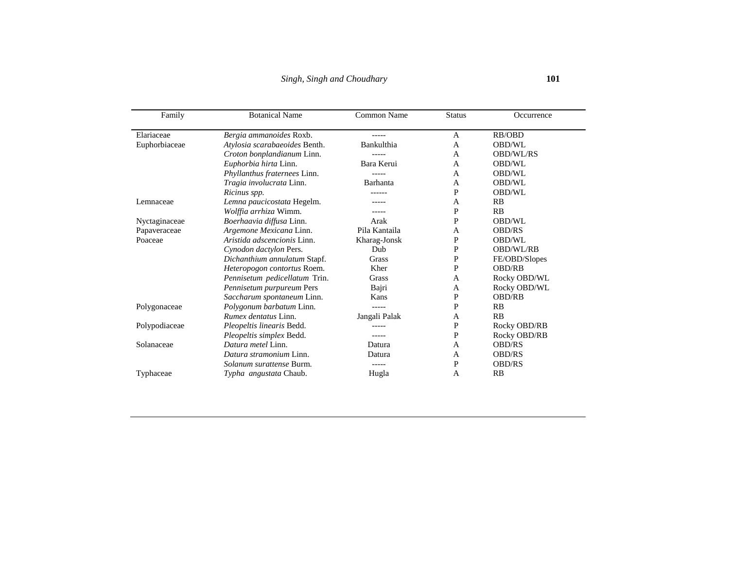| Family        | <b>Botanical Name</b>         | Common Name   | <b>Status</b> | Occurrence    |
|---------------|-------------------------------|---------------|---------------|---------------|
| Elariaceae    | Bergia ammanoides Roxb.       |               | A             | RB/OBD        |
| Euphorbiaceae | Atylosia scarabaeoides Benth. | Bankulthia    | A             | <b>OBD/WL</b> |
|               | Croton bonplandianum Linn.    |               | A             | OBD/WL/RS     |
|               | Euphorbia hirta Linn.         | Bara Kerui    | A             | <b>OBD/WL</b> |
|               | Phyllanthus fraternees Linn.  |               | A             | <b>OBD/WL</b> |
|               | Tragia involucrata Linn.      | Barhanta      | A             | <b>OBD/WL</b> |
|               | Ricinus spp.                  |               | P             | <b>OBD/WL</b> |
| Lemnaceae     | Lemna paucicostata Hegelm.    |               | A             | RB            |
|               | Wolffia arrhiza Wimm.         |               | P             | RB            |
| Nyctaginaceae | Boerhaavia diffusa Linn.      | Arak          | P             | OBD/WL        |
| Papaveraceae  | Argemone Mexicana Linn.       | Pila Kantaila | A             | <b>OBD/RS</b> |
| Poaceae       | Aristida adscencionis Linn.   | Kharag-Jonsk  | P             | <b>OBD/WL</b> |
|               | Cynodon dactylon Pers.        | Dub           | P             | OBD/WL/RB     |
|               | Dichanthium annulatum Stapf.  | Grass         | P             | FE/OBD/Slopes |
|               | Heteropogon contortus Roem.   | Kher          | P             | <b>OBD/RB</b> |
|               | Pennisetum pedicellatum Trin. | Grass         | A             | Rocky OBD/WL  |
|               | Pennisetum purpureum Pers     | Bajri         | A             | Rocky OBD/WL  |
|               | Saccharum spontaneum Linn.    | Kans          | P             | <b>OBD/RB</b> |
| Polygonaceae  | Polygonum barbatum Linn.      |               | P             | RB            |
|               | <i>Rumex dentatus</i> Linn.   | Jangali Palak | A             | <b>RB</b>     |
| Polypodiaceae | Pleopeltis linearis Bedd.     |               | P             | Rocky OBD/RB  |
|               | Pleopeltis simplex Bedd.      | -----         | P             | Rocky OBD/RB  |
| Solanaceae    | Datura metel Linn.            | Datura        | A             | <b>OBD/RS</b> |
|               | Datura stramonium Linn.       | Datura        | A             | <b>OBD/RS</b> |
|               | Solanum surattense Burm.      | -----         | P             | <b>OBD/RS</b> |
| Typhaceae     | Typha angustata Chaub.        | Hugla         | A             | RB            |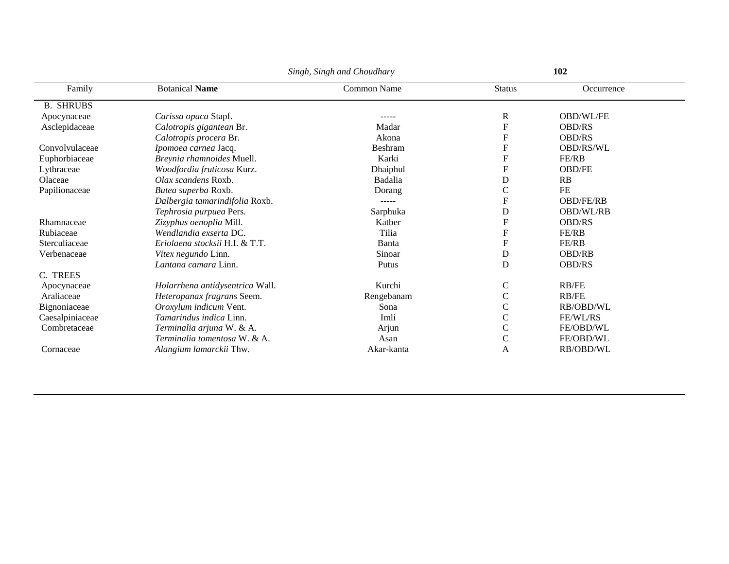|                  |                                 | Singh, Singh and Choudhary |                           | 102              |  |  |
|------------------|---------------------------------|----------------------------|---------------------------|------------------|--|--|
| Family           | <b>Botanical Name</b>           | Common Name                | <b>Status</b>             | Occurrence       |  |  |
| <b>B. SHRUBS</b> |                                 |                            |                           |                  |  |  |
| Apocynaceae      | Carissa opaca Stapf.            |                            | R                         | <b>OBD/WL/FE</b> |  |  |
| Asclepidaceae    | Calotropis gigantean Br.        | Madar                      | F                         | <b>OBD/RS</b>    |  |  |
|                  | Calotropis procera Br.          | Akona                      | ${\bf F}$                 | <b>OBD/RS</b>    |  |  |
| Convolvulaceae   | Ipomoea carnea Jacq.            | <b>Beshram</b>             | $\overline{F}$            | <b>OBD/RS/WL</b> |  |  |
| Euphorbiaceae    | Breynia rhamnoides Muell.       | Karki                      | F                         | FE/RB            |  |  |
| Lythraceae       | Woodfordia fruticosa Kurz.      | Dhaiphul                   | $\boldsymbol{\mathrm{F}}$ | <b>OBD/FE</b>    |  |  |
| Olaceae          | Olax scandens Roxb.             | Badalia                    | D                         | RB               |  |  |
| Papilionaceae    | Butea superba Roxb.             | Dorang                     | $\mathsf{C}$              | <b>FE</b>        |  |  |
|                  | Dalbergia tamarindifolia Roxb.  | -----                      | F                         | <b>OBD/FE/RB</b> |  |  |
|                  | Tephrosia purpuea Pers.         | Sarphuka                   | D                         | <b>OBD/WL/RB</b> |  |  |
| Rhamnaceae       | Zizyphus oenoplia Mill.         | Katber                     | $\boldsymbol{\mathrm{F}}$ | <b>OBD/RS</b>    |  |  |
| Rubiaceae        | Wendlandia exserta DC.          | Tilia                      | ${\bf F}$                 | FE/RB            |  |  |
| Sterculiaceae    | Eriolaena stocksii H.I. & T.T.  | Banta                      | ${\bf F}$                 | FE/RB            |  |  |
| Verbenaceae      | Vitex negundo Linn.             | Sinoar                     | ${\bf D}$                 | <b>OBD/RB</b>    |  |  |
|                  | Lantana camara Linn.            | Putus                      | D                         | <b>OBD/RS</b>    |  |  |
| C. TREES         |                                 |                            |                           |                  |  |  |
| Apocynaceae      | Holarrhena antidysentrica Wall. | Kurchi                     | $\mathsf{C}$              | RB/FE            |  |  |
| Araliaceae       | Heteropanax fragrans Seem.      | Rengebanam                 | $\mathsf{C}$              | RB/FE            |  |  |
| Bignoniaceae     | Oroxylum indicum Vent.          | Sona                       | $\mathsf C$               | RB/OBD/WL        |  |  |
| Caesalpiniaceae  | Tamarindus indica Linn.         | Imli                       | $\mathsf{C}$              | FE/WL/RS         |  |  |
| Combretaceae     | Terminalia arjuna W. & A.       | Arjun                      | $\mathsf{C}$              | FE/OBD/WL        |  |  |
|                  | Terminalia tomentosa W. & A.    | Asan                       | $\mathsf C$               | FE/OBD/WL        |  |  |
| Cornaceae        | Alangium lamarckii Thw.         | Akar-kanta                 | A                         | RB/OBD/WL        |  |  |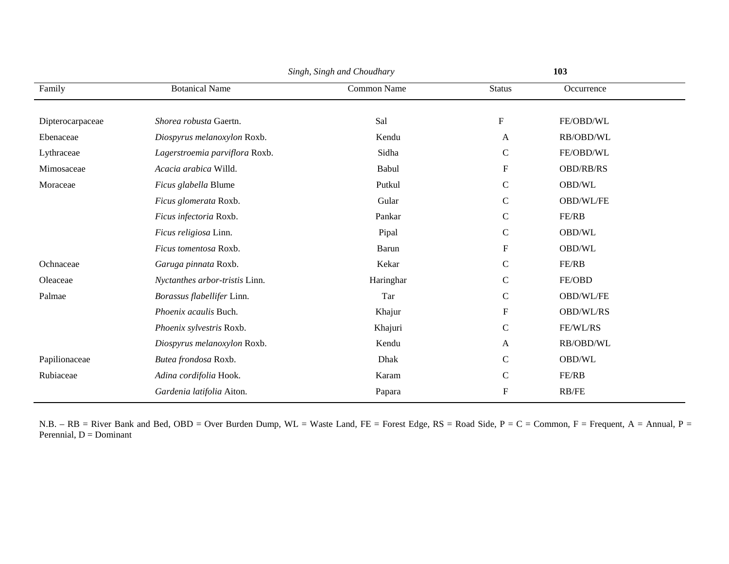|                  |                                | Singh, Singh and Choudhary |                           | 103              |  |  |
|------------------|--------------------------------|----------------------------|---------------------------|------------------|--|--|
| Family           | <b>Botanical Name</b>          | Common Name                | <b>Status</b>             | Occurrence       |  |  |
|                  |                                |                            |                           |                  |  |  |
| Dipterocarpaceae | Shorea robusta Gaertn.         | Sal                        | ${\bf F}$                 | FE/OBD/WL        |  |  |
| Ebenaceae        | Diospyrus melanoxylon Roxb.    | Kendu                      | A                         | RB/OBD/WL        |  |  |
| Lythraceae       | Lagerstroemia parviflora Roxb. | Sidha                      | $\mathsf{C}$              | FE/OBD/WL        |  |  |
| Mimosaceae       | Acacia arabica Willd.          | Babul                      | ${\bf F}$                 | <b>OBD/RB/RS</b> |  |  |
| Moraceae         | Ficus glabella Blume           | Putkul                     | $\mathbf C$               | OBD/WL           |  |  |
|                  | Ficus glomerata Roxb.          | Gular                      | $\mathbf C$               | OBD/WL/FE        |  |  |
|                  | Ficus infectoria Roxb.         | Pankar                     | $\mathbf C$               | FE/RB            |  |  |
|                  | Ficus religiosa Linn.          | Pipal                      | $\mathsf{C}$              | OBD/WL           |  |  |
|                  | Ficus tomentosa Roxb.          | Barun                      | $\boldsymbol{\mathrm{F}}$ | OBD/WL           |  |  |
| Ochnaceae        | Garuga pinnata Roxb.           | Kekar                      | $\mathbf C$               | FE/RB            |  |  |
| Oleaceae         | Nyctanthes arbor-tristis Linn. | Haringhar                  | $\mathbf C$               | FE/OBD           |  |  |
| Palmae           | Borassus flabellifer Linn.     | Tar                        | $\mathsf{C}$              | OBD/WL/FE        |  |  |
|                  | Phoenix acaulis Buch.          | Khajur                     | ${\bf F}$                 | OBD/WL/RS        |  |  |
|                  | Phoenix sylvestris Roxb.       | Khajuri                    | $\mathbf C$               | FE/WL/RS         |  |  |
|                  | Diospyrus melanoxylon Roxb.    | Kendu                      | A                         | RB/OBD/WL        |  |  |
| Papilionaceae    | Butea frondosa Roxb.           | Dhak                       | $\mathsf{C}$              | OBD/WL           |  |  |
| Rubiaceae        | Adina cordifolia Hook.         | Karam                      | $\mathsf{C}$              | FE/RB            |  |  |
|                  | Gardenia latifolia Aiton.      | Papara                     | $\boldsymbol{\mathrm{F}}$ | RB/FE            |  |  |

N.B. – RB = River Bank and Bed, OBD = Over Burden Dump, WL = Waste Land, FE = Forest Edge, RS = Road Side, P = C = Common, F = Frequent, A = Annual, P = Perennial, D = Dominant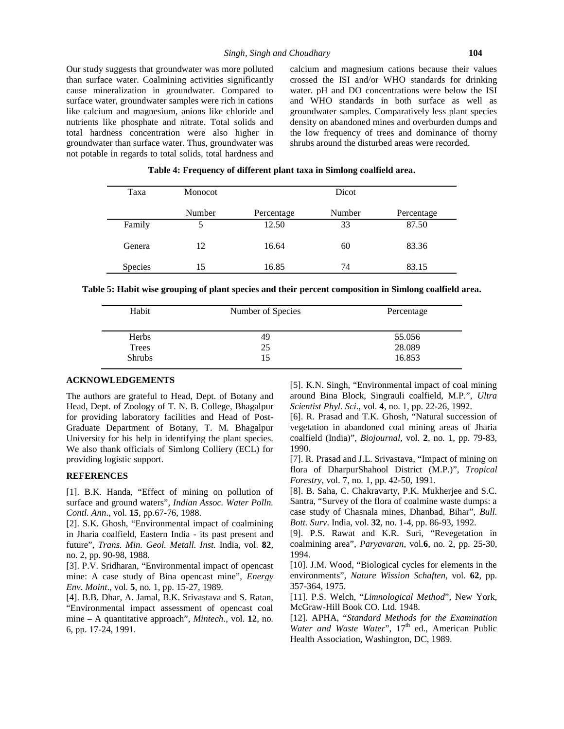Our study suggests that groundwater was more polluted than surface water. Coalmining activities significantly cause mineralization in groundwater. Compared to surface water, groundwater samples were rich in cations like calcium and magnesium, anions like chloride and nutrients like phosphate and nitrate. Total solids and total hardness concentration were also higher in groundwater than surface water. Thus, groundwater was not potable in regards to total solids, total hardness and calcium and magnesium cations because their values crossed the ISI and/or WHO standards for drinking water. pH and DO concentrations were below the ISI and WHO standards in both surface as well as groundwater samples. Comparatively less plant species density on abandoned mines and overburden dumps and the low frequency of trees and dominance of thorny shrubs around the disturbed areas were recorded.

| Taxa           | <b>Monocot</b> | Dicot      |        |            |
|----------------|----------------|------------|--------|------------|
|                | Number         | Percentage | Number | Percentage |
| Family         | 5              | 12.50      | 33     | 87.50      |
| Genera         | 12             | 16.64      | 60     | 83.36      |
| <b>Species</b> | 15             | 16.85      | 74     | 83.15      |

#### **Table 4: Frequency of different plant taxa in Simlong coalfield area.**

**Table 5: Habit wise grouping of plant species and their percent composition in Simlong coalfield area.**

| Habit         | Number of Species | Percentage |
|---------------|-------------------|------------|
| <b>Herbs</b>  | 49                | 55.056     |
| Trees         | 25                | 28.089     |
| <b>Shrubs</b> | 15                | 16.853     |

### **ACKNOWLEDGEMENTS**

The authors are grateful to Head, Dept. of Botany and Head, Dept. of Zoology of T. N. B. College, Bhagalpur for providing laboratory facilities and Head of Post- Graduate Department of Botany, T. M. Bhagalpur University for his help in identifying the plant species. We also thank officials of Simlong Colliery (ECL) for providing logistic support.

#### **REFERENCES**

[1]. B.K. Handa, "Effect of mining on pollution of surface and ground waters", *Indian Assoc. Water Polln. Contl. Ann*., vol. **15**, pp.67-76, 1988.

[2]. S.K. Ghosh, "Environmental impact of coalmining in Jharia coalfield, Eastern India - its past present and future", *Trans. Min. Geol. Metall. Inst.* India, vol. **82**, no. 2, pp. 90-98, 1988.

[3]. P.V. Sridharan, "Environmental impact of opencast mine: A case study of Bina opencast mine", *Energy Env. Moint*., vol. **5**, no. 1, pp. 15-27, 1989.

[4]. B.B. Dhar, A. Jamal, B.K. Srivastava and S. Ratan, "Environmental impact assessment of opencast coal mine – A quantitative approach", *Mintech*., vol. **12**, no. 6, pp. 17-24, 1991.

[5]. K.N. Singh, "Environmental impact of coal mining around Bina Block, Singrauli coalfield, M.P.", *Ultra Scientist Phyl. Sci*., vol. **4**, no. 1, pp. 22-26, 1992.

[6]. R. Prasad and T.K. Ghosh, "Natural succession of vegetation in abandoned coal mining areas of Jharia coalfield (India)", *Biojournal*, vol. **2**, no. 1, pp. 79-83, 1990.

[7]. R. Prasad and J.L. Srivastava, "Impact of mining on flora of DharpurShahool District (M.P.)", *Tropical Forestry*, vol. 7, no. 1, pp. 42-50, 1991.

[8]. B. Saha, C. Chakravarty, P.K. Mukherjee and S.C. Santra, "Survey of the flora of coalmine waste dumps: a case study of Chasnala mines, Dhanbad, Bihar", *Bull. Bott. Surv*. India, vol. **32**, no. 1-4, pp. 86-93, 1992.

[9]. P.S. Rawat and K.R. Suri, "Revegetation in coalmining area", *Paryavaran*, vol.**6**, no. 2, pp. 25-30, 1994.

[10]. J.M. Wood, "Biological cycles for elements in the environments", *Nature Wission Schaften*, vol. **62**, pp. 357-364, 1975.

[11]. P.S. Welch, "*Limnological Method*", New York, McGraw-Hill Book CO. Ltd. 1948.

[12]. APHA, "*Standard Methods for the Examination* Water and Waste Water", 17<sup>th</sup> ed., American Public Health Association, Washington, DC, 1989.